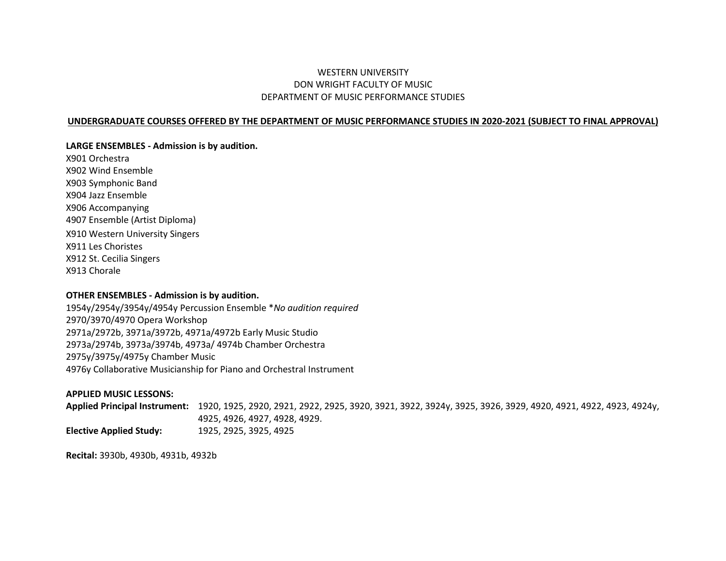# WESTERN UNIVERSITY DON WRIGHT FACULTY OF MUSIC DEPARTMENT OF MUSIC PERFORMANCE STUDIES

#### **UNDERGRADUATE COURSES OFFERED BY THE DEPARTMENT OF MUSIC PERFORMANCE STUDIES IN 2020-2021 (SUBJECT TO FINAL APPROVAL)**

#### **LARGE ENSEMBLES - Admission is by audition.**

X901 Orchestra X902 Wind Ensemble X903 Symphonic Band X904 Jazz Ensemble X906 Accompanying 4907 Ensemble (Artist Diploma) X910 Western University Singers X911 Les Choristes X912 St. Cecilia Singers X913 Chorale

#### **OTHER ENSEMBLES - Admission is by audition.**

1954y/2954y/3954y/4954y Percussion Ensemble \**No audition required* 2970/3970/4970 Opera Workshop 2971a/2972b, 3971a/3972b, 4971a/4972b Early Music Studio 2973a/2974b, 3973a/3974b, 4973a/ 4974b Chamber Orchestra 2975y/3975y/4975y Chamber Music 4976y Collaborative Musicianship for Piano and Orchestral Instrument

#### **APPLIED MUSIC LESSONS:**

**Applied Principal Instrument:** 1920, 1925, 2920, 2921, 2922, 2925, 3920, 3921, 3922, 3924y, 3925, 3926, 3929, 4920, 4921, 4922, 4923, 4924y, 4925, 4926, 4927, 4928, 4929. **Elective Applied Study:** 1925, 2925, 3925, 4925

**Recital:** 3930b, 4930b, 4931b, 4932b